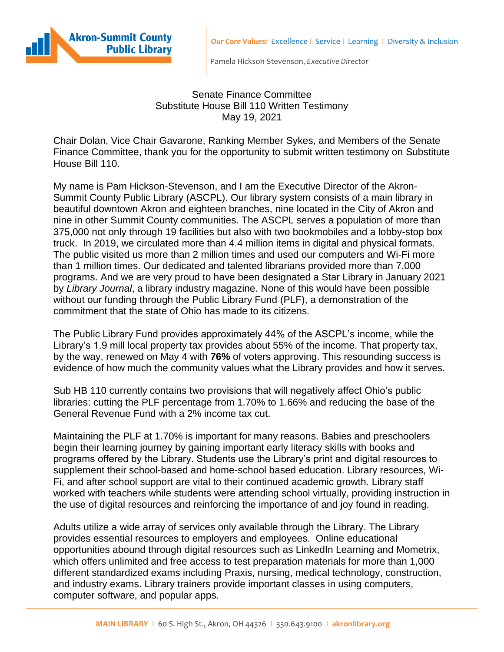



Pamela Hickson-Stevenson, *Executive Director*

## Senate Finance Committee Substitute House Bill 110 Written Testimony May 19, 2021

Chair Dolan, Vice Chair Gavarone, Ranking Member Sykes, and Members of the Senate Finance Committee, thank you for the opportunity to submit written testimony on Substitute House Bill 110.

My name is Pam Hickson-Stevenson, and I am the Executive Director of the Akron-Summit County Public Library (ASCPL). Our library system consists of a main library in beautiful downtown Akron and eighteen branches, nine located in the City of Akron and nine in other Summit County communities. The ASCPL serves a population of more than 375,000 not only through 19 facilities but also with two bookmobiles and a lobby-stop box truck. In 2019, we circulated more than 4.4 million items in digital and physical formats. The public visited us more than 2 million times and used our computers and Wi-Fi more than 1 million times. Our dedicated and talented librarians provided more than 7,000 programs. And we are very proud to have been designated a Star Library in January 2021 by *Library Journal*, a library industry magazine. None of this would have been possible without our funding through the Public Library Fund (PLF), a demonstration of the commitment that the state of Ohio has made to its citizens.

The Public Library Fund provides approximately 44% of the ASCPL's income, while the Library's 1.9 mill local property tax provides about 55% of the income. That property tax, by the way, renewed on May 4 with **76%** of voters approving. This resounding success is evidence of how much the community values what the Library provides and how it serves.

Sub HB 110 currently contains two provisions that will negatively affect Ohio's public libraries: cutting the PLF percentage from 1.70% to 1.66% and reducing the base of the General Revenue Fund with a 2% income tax cut.

Maintaining the PLF at 1.70% is important for many reasons. Babies and preschoolers begin their learning journey by gaining important early literacy skills with books and programs offered by the Library. Students use the Library's print and digital resources to supplement their school-based and home-school based education. Library resources, Wi-Fi, and after school support are vital to their continued academic growth. Library staff worked with teachers while students were attending school virtually, providing instruction in the use of digital resources and reinforcing the importance of and joy found in reading.

Adults utilize a wide array of services only available through the Library. The Library provides essential resources to employers and employees. Online educational opportunities abound through digital resources such as LinkedIn Learning and Mometrix, which offers unlimited and free access to test preparation materials for more than 1,000 different standardized exams including Praxis, nursing, medical technology, construction, and industry exams. Library trainers provide important classes in using computers, computer software, and popular apps.